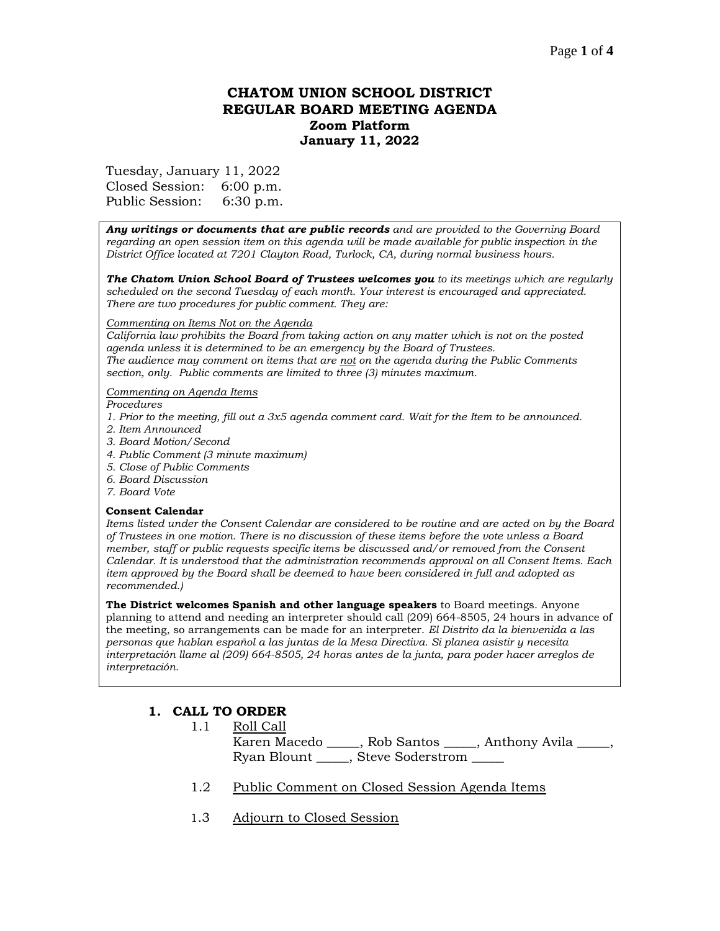## **CHATOM UNION SCHOOL DISTRICT REGULAR BOARD MEETING AGENDA Zoom Platform January 11, 2022**

Tuesday, January 11, 2022

Closed Session: 6:00 p.m. Public Session: 6:30 p.m.

*Any writings or documents that are public records and are provided to the Governing Board regarding an open session item on this agenda will be made available for public inspection in the District Office located at 7201 Clayton Road, Turlock, CA, during normal business hours.*

*The Chatom Union School Board of Trustees welcomes you to its meetings which are regularly scheduled on the second Tuesday of each month. Your interest is encouraged and appreciated. There are two procedures for public comment. They are:*

#### *Commenting on Items Not on the Agenda*

*California law prohibits the Board from taking action on any matter which is not on the posted agenda unless it is determined to be an emergency by the Board of Trustees. The audience may comment on items that are not on the agenda during the Public Comments section, only. Public comments are limited to three (3) minutes maximum.*

#### *Commenting on Agenda Items*

*Procedures* 

- *1. Prior to the meeting, fill out a 3x5 agenda comment card. Wait for the Item to be announced.*
- *2. Item Announced*
- *3. Board Motion/Second*
- *4. Public Comment (3 minute maximum)*
- *5. Close of Public Comments*
- *6. Board Discussion*
- *7. Board Vote*

#### **Consent Calendar**

*Items listed under the Consent Calendar are considered to be routine and are acted on by the Board of Trustees in one motion. There is no discussion of these items before the vote unless a Board member, staff or public requests specific items be discussed and/or removed from the Consent Calendar. It is understood that the administration recommends approval on all Consent Items. Each item approved by the Board shall be deemed to have been considered in full and adopted as recommended.)*

**The District welcomes Spanish and other language speakers** to Board meetings. Anyone planning to attend and needing an interpreter should call (209) 664-8505, 24 hours in advance of the meeting, so arrangements can be made for an interpreter. *El Distrito da la bienvenida a las personas que hablan español a las juntas de la Mesa Directiva. Si planea asistir y necesita interpretación llame al (209) 664-8505, 24 horas antes de la junta, para poder hacer arreglos de interpretación.*

# **1. CALL TO ORDER**

1.1 Roll Call

Karen Macedo \_\_\_\_\_, Rob Santos \_\_\_\_\_, Anthony Avila \_\_\_\_, Ryan Blount \_\_\_\_\_, Steve Soderstrom \_\_\_\_\_

- 1.2 Public Comment on Closed Session Agenda Items
- 1.3 Adjourn to Closed Session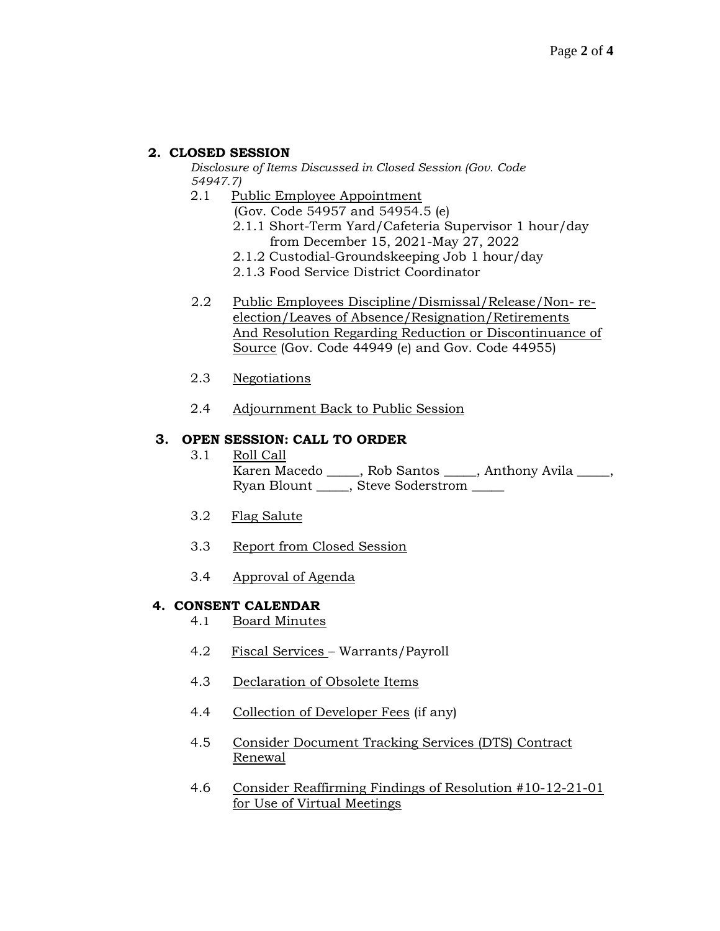### **2. CLOSED SESSION**

*Disclosure of Items Discussed in Closed Session (Gov. Code 54947.7)*

- 2.1 Public Employee Appointment
	- (Gov. Code 54957 and 54954.5 (e)
	- 2.1.1 Short-Term Yard/Cafeteria Supervisor 1 hour/day from December 15, 2021-May 27, 2022
	- 2.1.2 Custodial-Groundskeeping Job 1 hour/day
	- 2.1.3 Food Service District Coordinator
- 2.2 Public Employees Discipline/Dismissal/Release/Non- reelection/Leaves of Absence/Resignation/Retirements And Resolution Regarding Reduction or Discontinuance of Source (Gov. Code 44949 (e) and Gov. Code 44955)
- 2.3 Negotiations
- 2.4 Adjournment Back to Public Session

### **3. OPEN SESSION: CALL TO ORDER**

- 3.1 Roll Call Karen Macedo \_\_\_\_\_, Rob Santos \_\_\_\_\_, Anthony Avila \_\_\_\_\_, Ryan Blount \_\_\_\_\_, Steve Soderstrom \_\_\_\_\_
- 3.2 Flag Salute
- 3.3 Report from Closed Session
- 3.4 Approval of Agenda

#### **4. CONSENT CALENDAR**

- 4.1 Board Minutes
- 4.2 Fiscal Services Warrants/Payroll
- 4.3 Declaration of Obsolete Items
- 4.4 Collection of Developer Fees (if any)
- 4.5 Consider Document Tracking Services (DTS) Contract Renewal
- 4.6 Consider Reaffirming Findings of Resolution #10-12-21-01 for Use of Virtual Meetings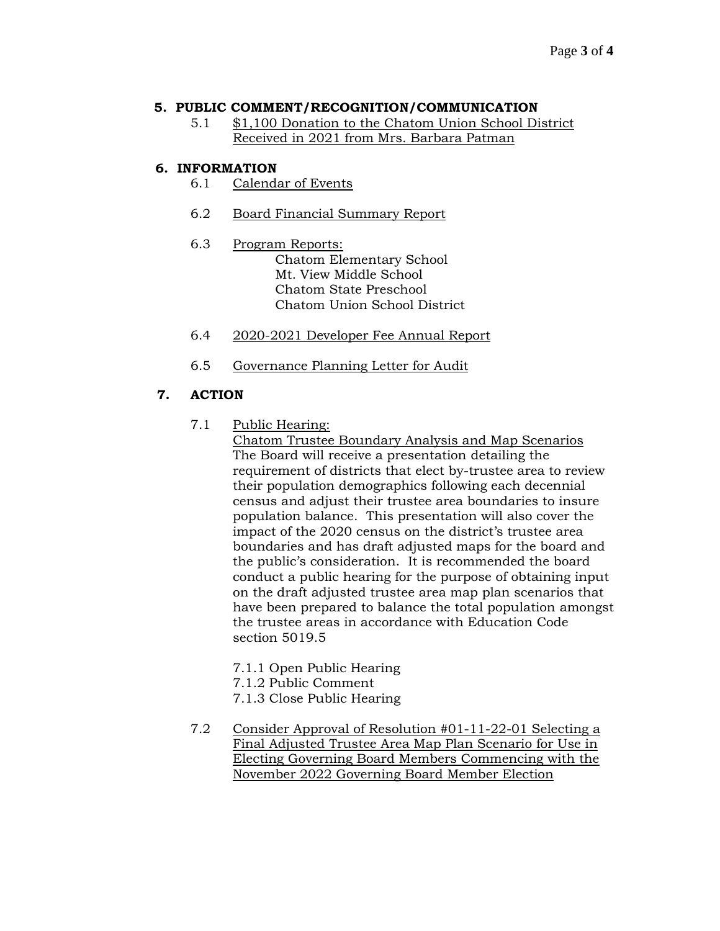### **5. PUBLIC COMMENT/RECOGNITION/COMMUNICATION**

5.1 \$1,100 Donation to the Chatom Union School District Received in 2021 from Mrs. Barbara Patman

### **6. INFORMATION**

- 6.1 Calendar of Events
- 6.2 Board Financial Summary Report
- 6.3 Program Reports:

Chatom Elementary School Mt. View Middle School Chatom State Preschool Chatom Union School District

- 6.4 2020-2021 Developer Fee Annual Report
- 6.5 Governance Planning Letter for Audit

# **7. ACTION**

7.1 Public Hearing:

Chatom Trustee Boundary Analysis and Map Scenarios The Board will receive a presentation detailing the requirement of districts that elect by-trustee area to review their population demographics following each decennial census and adjust their trustee area boundaries to insure population balance. This presentation will also cover the impact of the 2020 census on the district's trustee area boundaries and has draft adjusted maps for the board and the public's consideration. It is recommended the board conduct a public hearing for the purpose of obtaining input on the draft adjusted trustee area map plan scenarios that have been prepared to balance the total population amongst the trustee areas in accordance with Education Code section 5019.5

- 7.1.1 Open Public Hearing
- 7.1.2 Public Comment
- 7.1.3 Close Public Hearing
- 7.2 Consider Approval of Resolution #01-11-22-01 Selecting a Final Adjusted Trustee Area Map Plan Scenario for Use in Electing Governing Board Members Commencing with the November 2022 Governing Board Member Election